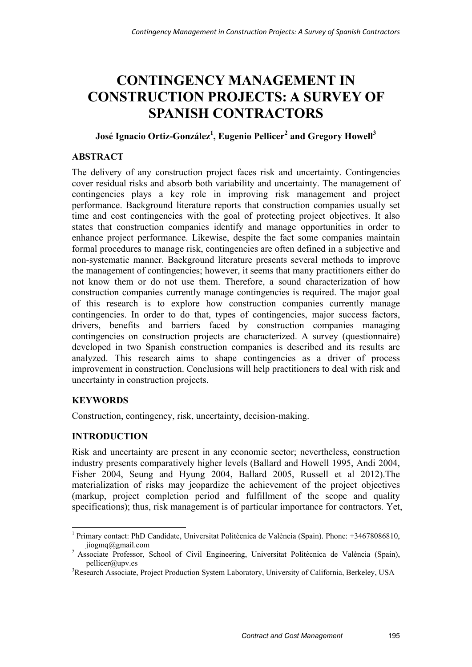# **CONTINGENCY MANAGEMENT IN CONSTRUCTION PROJECTS: A SURVEY OF SPANISH CONTRACTORS**

# **José Ignacio Ortiz-González1 , Eugenio Pellicer2 and Gregory Howell<sup>3</sup>**

## **ABSTRACT**

The delivery of any construction project faces risk and uncertainty. Contingencies cover residual risks and absorb both variability and uncertainty. The management of contingencies plays a key role in improving risk management and project performance. Background literature reports that construction companies usually set time and cost contingencies with the goal of protecting project objectives. It also states that construction companies identify and manage opportunities in order to enhance project performance. Likewise, despite the fact some companies maintain formal procedures to manage risk, contingencies are often defined in a subjective and non-systematic manner. Background literature presents several methods to improve the management of contingencies; however, it seems that many practitioners either do not know them or do not use them. Therefore, a sound characterization of how construction companies currently manage contingencies is required. The major goal of this research is to explore how construction companies currently manage contingencies. In order to do that, types of contingencies, major success factors, drivers, benefits and barriers faced by construction companies managing contingencies on construction projects are characterized. A survey (questionnaire) developed in two Spanish construction companies is described and its results are analyzed. This research aims to shape contingencies as a driver of process improvement in construction. Conclusions will help practitioners to deal with risk and uncertainty in construction projects.

## **KEYWORDS**

-

Construction, contingency, risk, uncertainty, decision-making.

### **INTRODUCTION**

Risk and uncertainty are present in any economic sector; nevertheless, construction industry presents comparatively higher levels (Ballard and Howell 1995, Andi 2004, Fisher 2004, Seung and Hyung 2004, Ballard 2005, Russell et al 2012).The materialization of risks may jeopardize the achievement of the project objectives (markup, project completion period and fulfillment of the scope and quality specifications); thus, risk management is of particular importance for contractors. Yet,

<sup>&</sup>lt;sup>1</sup> Primary contact: PhD Candidate, Universitat Politècnica de València (Spain). Phone: +34678086810, jiogmq@gmail.com 2 Associate Professor, School of Civil Engineering, Universitat Politècnica de València (Spain),

pellicer@upv.es

<sup>&</sup>lt;sup>3</sup>Research Associate, Project Production System Laboratory, University of California, Berkeley, USA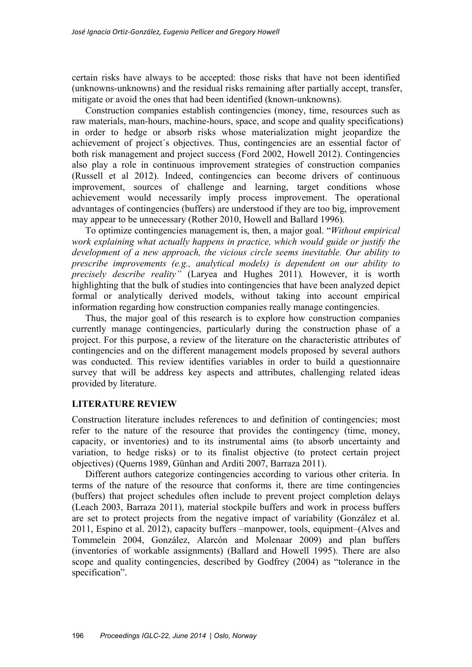certain risks have always to be accepted: those risks that have not been identified (unknowns-unknowns) and the residual risks remaining after partially accept, transfer, mitigate or avoid the ones that had been identified (known-unknowns).

Construction companies establish contingencies (money, time, resources such as raw materials, man-hours, machine-hours, space, and scope and quality specifications) in order to hedge or absorb risks whose materialization might jeopardize the achievement of project´s objectives. Thus, contingencies are an essential factor of both risk management and project success (Ford 2002, Howell 2012). Contingencies also play a role in continuous improvement strategies of construction companies (Russell et al 2012). Indeed, contingencies can become drivers of continuous improvement, sources of challenge and learning, target conditions whose achievement would necessarily imply process improvement. The operational advantages of contingencies (buffers) are understood if they are too big, improvement may appear to be unnecessary (Rother 2010, Howell and Ballard 1996)*.* 

To optimize contingencies management is, then, a major goal. "*Without empirical work explaining what actually happens in practice, which would guide or justify the development of a new approach, the vicious circle seems inevitable. Our ability to prescribe improvements (e.g., analytical models) is dependent on our ability to precisely describe reality"* (Laryea and Hughes 2011)*.* However, it is worth highlighting that the bulk of studies into contingencies that have been analyzed depict formal or analytically derived models, without taking into account empirical information regarding how construction companies really manage contingencies.

Thus, the major goal of this research is to explore how construction companies currently manage contingencies, particularly during the construction phase of a project. For this purpose, a review of the literature on the characteristic attributes of contingencies and on the different management models proposed by several authors was conducted. This review identifies variables in order to build a questionnaire survey that will be address key aspects and attributes, challenging related ideas provided by literature.

#### **LITERATURE REVIEW**

Construction literature includes references to and definition of contingencies; most refer to the nature of the resource that provides the contingency (time, money, capacity, or inventories) and to its instrumental aims (to absorb uncertainty and variation, to hedge risks) or to its finalist objective (to protect certain project objectives) (Querns 1989, Günhan and Arditi 2007, Barraza 2011).

Different authors categorize contingencies according to various other criteria. In terms of the nature of the resource that conforms it, there are time contingencies (buffers) that project schedules often include to prevent project completion delays (Leach 2003, Barraza 2011), material stockpile buffers and work in process buffers are set to protect projects from the negative impact of variability (González et al. 2011, Espino et al. 2012), capacity buffers –manpower, tools, equipment–(Alves and Tommelein 2004, González, Alarcón and Molenaar 2009) and plan buffers (inventories of workable assignments) (Ballard and Howell 1995). There are also scope and quality contingencies, described by Godfrey (2004) as "tolerance in the specification".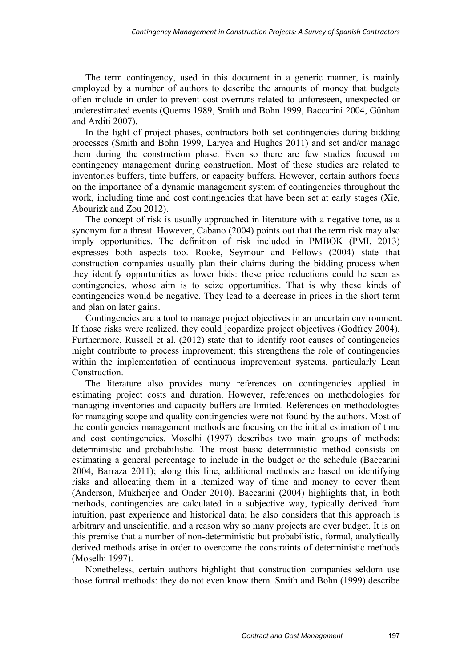The term contingency, used in this document in a generic manner, is mainly employed by a number of authors to describe the amounts of money that budgets often include in order to prevent cost overruns related to unforeseen, unexpected or underestimated events (Querns 1989, Smith and Bohn 1999, Baccarini 2004, Günhan and Arditi 2007).

In the light of project phases, contractors both set contingencies during bidding processes (Smith and Bohn 1999, Laryea and Hughes 2011) and set and/or manage them during the construction phase. Even so there are few studies focused on contingency management during construction. Most of these studies are related to inventories buffers, time buffers, or capacity buffers. However, certain authors focus on the importance of a dynamic management system of contingencies throughout the work, including time and cost contingencies that have been set at early stages (Xie, Abourizk and Zou 2012).

The concept of risk is usually approached in literature with a negative tone, as a synonym for a threat. However, Cabano (2004) points out that the term risk may also imply opportunities. The definition of risk included in PMBOK (PMI, 2013) expresses both aspects too. Rooke, Seymour and Fellows (2004) state that construction companies usually plan their claims during the bidding process when they identify opportunities as lower bids: these price reductions could be seen as contingencies, whose aim is to seize opportunities. That is why these kinds of contingencies would be negative. They lead to a decrease in prices in the short term and plan on later gains.

Contingencies are a tool to manage project objectives in an uncertain environment. If those risks were realized, they could jeopardize project objectives (Godfrey 2004). Furthermore, Russell et al. (2012) state that to identify root causes of contingencies might contribute to process improvement; this strengthens the role of contingencies within the implementation of continuous improvement systems, particularly Lean Construction.

The literature also provides many references on contingencies applied in estimating project costs and duration. However, references on methodologies for managing inventories and capacity buffers are limited. References on methodologies for managing scope and quality contingencies were not found by the authors. Most of the contingencies management methods are focusing on the initial estimation of time and cost contingencies. Moselhi (1997) describes two main groups of methods: deterministic and probabilistic. The most basic deterministic method consists on estimating a general percentage to include in the budget or the schedule (Baccarini 2004, Barraza 2011); along this line, additional methods are based on identifying risks and allocating them in a itemized way of time and money to cover them (Anderson, Mukherjee and Onder 2010). Baccarini (2004) highlights that, in both methods, contingencies are calculated in a subjective way, typically derived from intuition, past experience and historical data; he also considers that this approach is arbitrary and unscientific, and a reason why so many projects are over budget. It is on this premise that a number of non-deterministic but probabilistic, formal, analytically derived methods arise in order to overcome the constraints of deterministic methods (Moselhi 1997).

Nonetheless, certain authors highlight that construction companies seldom use those formal methods: they do not even know them. Smith and Bohn (1999) describe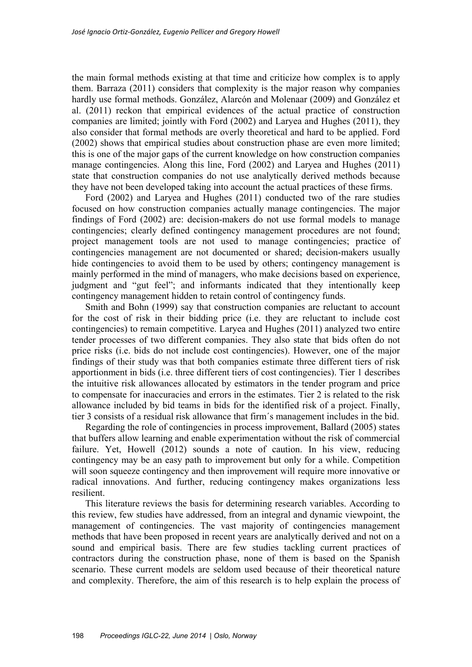the main formal methods existing at that time and criticize how complex is to apply them. Barraza (2011) considers that complexity is the major reason why companies hardly use formal methods. González, Alarcón and Molenaar (2009) and González et al. (2011) reckon that empirical evidences of the actual practice of construction companies are limited; jointly with Ford (2002) and Laryea and Hughes (2011), they also consider that formal methods are overly theoretical and hard to be applied. Ford (2002) shows that empirical studies about construction phase are even more limited; this is one of the major gaps of the current knowledge on how construction companies manage contingencies. Along this line, Ford (2002) and Laryea and Hughes (2011) state that construction companies do not use analytically derived methods because they have not been developed taking into account the actual practices of these firms.

Ford (2002) and Laryea and Hughes (2011) conducted two of the rare studies focused on how construction companies actually manage contingencies. The major findings of Ford (2002) are: decision-makers do not use formal models to manage contingencies; clearly defined contingency management procedures are not found; project management tools are not used to manage contingencies; practice of contingencies management are not documented or shared; decision-makers usually hide contingencies to avoid them to be used by others; contingency management is mainly performed in the mind of managers, who make decisions based on experience, judgment and "gut feel"; and informants indicated that they intentionally keep contingency management hidden to retain control of contingency funds.

Smith and Bohn (1999) say that construction companies are reluctant to account for the cost of risk in their bidding price (i.e. they are reluctant to include cost contingencies) to remain competitive. Laryea and Hughes (2011) analyzed two entire tender processes of two different companies. They also state that bids often do not price risks (i.e. bids do not include cost contingencies). However, one of the major findings of their study was that both companies estimate three different tiers of risk apportionment in bids (i.e. three different tiers of cost contingencies). Tier 1 describes the intuitive risk allowances allocated by estimators in the tender program and price to compensate for inaccuracies and errors in the estimates. Tier 2 is related to the risk allowance included by bid teams in bids for the identified risk of a project. Finally, tier 3 consists of a residual risk allowance that firm´s management includes in the bid.

Regarding the role of contingencies in process improvement, Ballard (2005) states that buffers allow learning and enable experimentation without the risk of commercial failure. Yet, Howell (2012) sounds a note of caution. In his view, reducing contingency may be an easy path to improvement but only for a while. Competition will soon squeeze contingency and then improvement will require more innovative or radical innovations. And further, reducing contingency makes organizations less resilient.

This literature reviews the basis for determining research variables. According to this review, few studies have addressed, from an integral and dynamic viewpoint, the management of contingencies. The vast majority of contingencies management methods that have been proposed in recent years are analytically derived and not on a sound and empirical basis. There are few studies tackling current practices of contractors during the construction phase, none of them is based on the Spanish scenario. These current models are seldom used because of their theoretical nature and complexity. Therefore, the aim of this research is to help explain the process of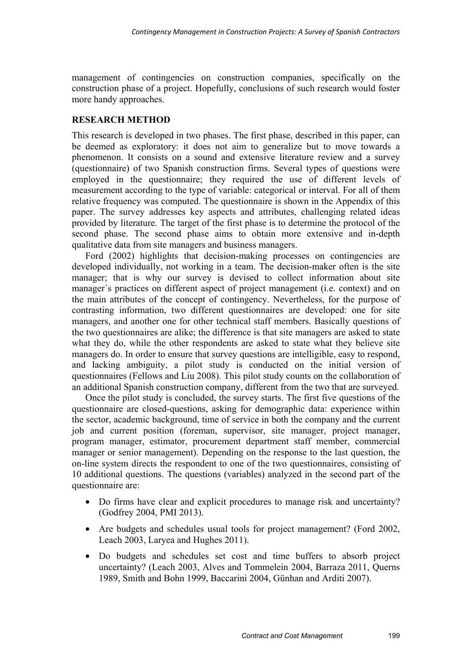management of contingencies on construction companies, specifically on the construction phase of a project. Hopefully, conclusions of such research would foster more handy approaches.

### **RESEARCH METHOD**

This research is developed in two phases. The first phase, described in this paper, can be deemed as exploratory: it does not aim to generalize but to move towards a phenomenon. It consists on a sound and extensive literature review and a survey (questionnaire) of two Spanish construction firms. Several types of questions were employed in the questionnaire; they required the use of different levels of measurement according to the type of variable: categorical or interval. For all of them relative frequency was computed. The questionnaire is shown in the Appendix of this paper. The survey addresses key aspects and attributes, challenging related ideas provided by literature. The target of the first phase is to determine the protocol of the second phase. The second phase aims to obtain more extensive and in-depth qualitative data from site managers and business managers.

Ford (2002) highlights that decision-making processes on contingencies are developed individually, not working in a team. The decision-maker often is the site manager; that is why our survey is devised to collect information about site manager´s practices on different aspect of project management (i.e. context) and on the main attributes of the concept of contingency. Nevertheless, for the purpose of contrasting information, two different questionnaires are developed: one for site managers, and another one for other technical staff members. Basically questions of the two questionnaires are alike; the difference is that site managers are asked to state what they do, while the other respondents are asked to state what they believe site managers do. In order to ensure that survey questions are intelligible, easy to respond, and lacking ambiguity, a pilot study is conducted on the initial version of questionnaires (Fellows and Liu 2008). This pilot study counts on the collaboration of an additional Spanish construction company, different from the two that are surveyed.

Once the pilot study is concluded, the survey starts. The first five questions of the questionnaire are closed-questions, asking for demographic data: experience within the sector, academic background, time of service in both the company and the current job and current position (foreman, supervisor, site manager, project manager, program manager, estimator, procurement department staff member, commercial manager or senior management). Depending on the response to the last question, the on-line system directs the respondent to one of the two questionnaires, consisting of 10 additional questions. The questions (variables) analyzed in the second part of the questionnaire are:

- Do firms have clear and explicit procedures to manage risk and uncertainty? (Godfrey 2004, PMI 2013).
- Are budgets and schedules usual tools for project management? (Ford 2002, Leach 2003, Laryea and Hughes 2011).
- Do budgets and schedules set cost and time buffers to absorb project uncertainty? (Leach 2003, Alves and Tommelein 2004, Barraza 2011, Querns 1989, Smith and Bohn 1999, Baccarini 2004, Günhan and Arditi 2007).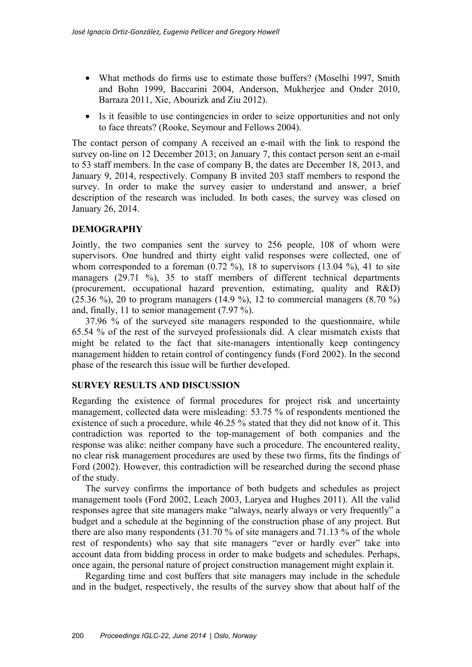- What methods do firms use to estimate those buffers? (Moselhi 1997, Smith and Bohn 1999, Baccarini 2004, Anderson, Mukherjee and Onder 2010, Barraza 2011, Xie, Abourizk and Ziu 2012).
- Is it feasible to use contingencies in order to seize opportunities and not only to face threats? (Rooke, Seymour and Fellows 2004).

The contact person of company A received an e-mail with the link to respond the survey on-line on 12 December 2013; on January 7, this contact person sent an e-mail to 53 staff members. In the case of company B, the dates are December 18, 2013, and January 9, 2014, respectively. Company B invited 203 staff members to respond the survey. In order to make the survey easier to understand and answer, a brief description of the research was included. In both cases, the survey was closed on January 26, 2014.

## **DEMOGRAPHY**

Jointly, the two companies sent the survey to 256 people, 108 of whom were supervisors. One hundred and thirty eight valid responses were collected, one of whom corresponded to a foreman  $(0.72 \%)$ , 18 to supervisors  $(13.04 \%)$ , 41 to site managers (29.71 %), 35 to staff members of different technical departments (procurement, occupational hazard prevention, estimating, quality and R&D) (25.36 %), 20 to program managers (14.9 %), 12 to commercial managers  $(8.70 \text{ %})$ and, finally, 11 to senior management (7.97 %).

37.96 % of the surveyed site managers responded to the questionnaire, while 65.54 % of the rest of the surveyed professionals did. A clear mismatch exists that might be related to the fact that site-managers intentionally keep contingency management hidden to retain control of contingency funds (Ford 2002). In the second phase of the research this issue will be further developed.

### **SURVEY RESULTS AND DISCUSSION**

Regarding the existence of formal procedures for project risk and uncertainty management, collected data were misleading: 53.75 % of respondents mentioned the existence of such a procedure, while 46.25 % stated that they did not know of it. This contradiction was reported to the top-management of both companies and the response was alike: neither company have such a procedure. The encountered reality, no clear risk management procedures are used by these two firms, fits the findings of Ford (2002). However, this contradiction will be researched during the second phase of the study.

The survey confirms the importance of both budgets and schedules as project management tools (Ford 2002, Leach 2003, Laryea and Hughes 2011). All the valid responses agree that site managers make "always, nearly always or very frequently" a budget and a schedule at the beginning of the construction phase of any project. But there are also many respondents (31.70 % of site managers and 71.13 % of the whole rest of respondents) who say that site managers "ever or hardly ever" take into account data from bidding process in order to make budgets and schedules. Perhaps, once again, the personal nature of project construction management might explain it.

Regarding time and cost buffers that site managers may include in the schedule and in the budget, respectively, the results of the survey show that about half of the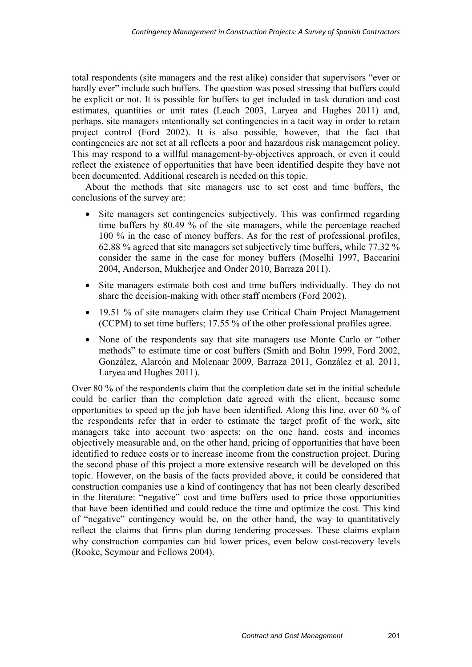total respondents (site managers and the rest alike) consider that supervisors "ever or hardly ever" include such buffers. The question was posed stressing that buffers could be explicit or not. It is possible for buffers to get included in task duration and cost estimates, quantities or unit rates (Leach 2003, Laryea and Hughes 2011) and, perhaps, site managers intentionally set contingencies in a tacit way in order to retain project control (Ford 2002). It is also possible, however, that the fact that contingencies are not set at all reflects a poor and hazardous risk management policy. This may respond to a willful management-by-objectives approach, or even it could reflect the existence of opportunities that have been identified despite they have not been documented. Additional research is needed on this topic.

About the methods that site managers use to set cost and time buffers, the conclusions of the survey are:

- Site managers set contingencies subjectively. This was confirmed regarding time buffers by 80.49 % of the site managers, while the percentage reached 100 % in the case of money buffers. As for the rest of professional profiles, 62.88 % agreed that site managers set subjectively time buffers, while 77.32 % consider the same in the case for money buffers (Moselhi 1997, Baccarini 2004, Anderson, Mukherjee and Onder 2010, Barraza 2011).
- Site managers estimate both cost and time buffers individually. They do not share the decision-making with other staff members (Ford 2002).
- 19.51 % of site managers claim they use Critical Chain Project Management (CCPM) to set time buffers; 17.55 % of the other professional profiles agree.
- None of the respondents say that site managers use Monte Carlo or "other methods" to estimate time or cost buffers (Smith and Bohn 1999, Ford 2002, González, Alarcón and Molenaar 2009, Barraza 2011, González et al. 2011, Laryea and Hughes 2011).

Over 80 % of the respondents claim that the completion date set in the initial schedule could be earlier than the completion date agreed with the client, because some opportunities to speed up the job have been identified. Along this line, over 60 % of the respondents refer that in order to estimate the target profit of the work, site managers take into account two aspects: on the one hand, costs and incomes objectively measurable and, on the other hand, pricing of opportunities that have been identified to reduce costs or to increase income from the construction project. During the second phase of this project a more extensive research will be developed on this topic. However, on the basis of the facts provided above, it could be considered that construction companies use a kind of contingency that has not been clearly described in the literature: "negative" cost and time buffers used to price those opportunities that have been identified and could reduce the time and optimize the cost. This kind of "negative" contingency would be, on the other hand, the way to quantitatively reflect the claims that firms plan during tendering processes. These claims explain why construction companies can bid lower prices, even below cost-recovery levels (Rooke, Seymour and Fellows 2004).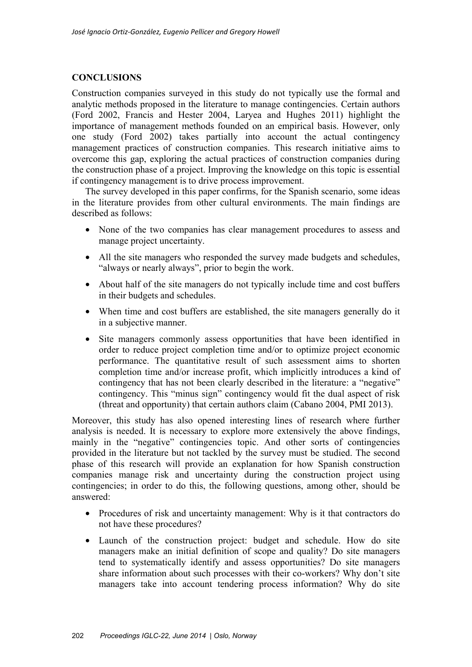#### **CONCLUSIONS**

Construction companies surveyed in this study do not typically use the formal and analytic methods proposed in the literature to manage contingencies. Certain authors (Ford 2002, Francis and Hester 2004, Laryea and Hughes 2011) highlight the importance of management methods founded on an empirical basis. However, only one study (Ford 2002) takes partially into account the actual contingency management practices of construction companies. This research initiative aims to overcome this gap, exploring the actual practices of construction companies during the construction phase of a project. Improving the knowledge on this topic is essential if contingency management is to drive process improvement.

The survey developed in this paper confirms, for the Spanish scenario, some ideas in the literature provides from other cultural environments. The main findings are described as follows:

- None of the two companies has clear management procedures to assess and manage project uncertainty.
- All the site managers who responded the survey made budgets and schedules, "always or nearly always", prior to begin the work.
- About half of the site managers do not typically include time and cost buffers in their budgets and schedules.
- When time and cost buffers are established, the site managers generally do it in a subjective manner.
- Site managers commonly assess opportunities that have been identified in order to reduce project completion time and/or to optimize project economic performance. The quantitative result of such assessment aims to shorten completion time and/or increase profit, which implicitly introduces a kind of contingency that has not been clearly described in the literature: a "negative" contingency. This "minus sign" contingency would fit the dual aspect of risk (threat and opportunity) that certain authors claim (Cabano 2004, PMI 2013).

Moreover, this study has also opened interesting lines of research where further analysis is needed. It is necessary to explore more extensively the above findings, mainly in the "negative" contingencies topic. And other sorts of contingencies provided in the literature but not tackled by the survey must be studied. The second phase of this research will provide an explanation for how Spanish construction companies manage risk and uncertainty during the construction project using contingencies; in order to do this, the following questions, among other, should be answered:

- Procedures of risk and uncertainty management: Why is it that contractors do not have these procedures?
- Launch of the construction project: budget and schedule. How do site managers make an initial definition of scope and quality? Do site managers tend to systematically identify and assess opportunities? Do site managers share information about such processes with their co-workers? Why don't site managers take into account tendering process information? Why do site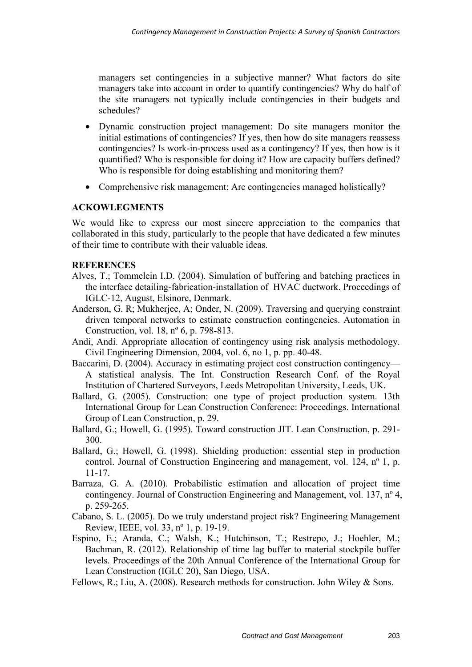managers set contingencies in a subjective manner? What factors do site managers take into account in order to quantify contingencies? Why do half of the site managers not typically include contingencies in their budgets and schedules?

- Dynamic construction project management: Do site managers monitor the initial estimations of contingencies? If yes, then how do site managers reassess contingencies? Is work-in-process used as a contingency? If yes, then how is it quantified? Who is responsible for doing it? How are capacity buffers defined? Who is responsible for doing establishing and monitoring them?
- Comprehensive risk management: Are contingencies managed holistically?

#### **ACKOWLEGMENTS**

We would like to express our most sincere appreciation to the companies that collaborated in this study, particularly to the people that have dedicated a few minutes of their time to contribute with their valuable ideas.

#### **REFERENCES**

- Alves, T.; Tommelein I.D. (2004). Simulation of buffering and batching practices in the interface detailing-fabrication-installation of HVAC ductwork. Proceedings of IGLC-12, August, Elsinore, Denmark.
- Anderson, G. R; Mukherjee, A; Onder, N. (2009). Traversing and querying constraint driven temporal networks to estimate construction contingencies. Automation in Construction, vol. 18, nº 6, p. 798-813.
- Andi, Andi. Appropriate allocation of contingency using risk analysis methodology. Civil Engineering Dimension, 2004, vol. 6, no 1, p. pp. 40-48.
- Baccarini, D. (2004). Accuracy in estimating project cost construction contingency— A statistical analysis. The Int. Construction Research Conf. of the Royal Institution of Chartered Surveyors, Leeds Metropolitan University, Leeds, UK.
- Ballard, G. (2005). Construction: one type of project production system. 13th International Group for Lean Construction Conference: Proceedings. International Group of Lean Construction, p. 29.
- Ballard, G.; Howell, G. (1995). Toward construction JIT. Lean Construction, p. 291- 300.
- Ballard, G.; Howell, G. (1998). Shielding production: essential step in production control. Journal of Construction Engineering and management, vol. 124, nº 1, p. 11-17.
- Barraza, G. A. (2010). Probabilistic estimation and allocation of project time contingency. Journal of Construction Engineering and Management, vol. 137, nº 4, p. 259-265.
- Cabano, S. L. (2005). Do we truly understand project risk? Engineering Management Review, IEEE, vol. 33, nº 1, p. 19-19.
- Espino, E.; Aranda, C.; Walsh, K.; Hutchinson, T.; Restrepo, J.; Hoehler, M.; Bachman, R. (2012). Relationship of time lag buffer to material stockpile buffer levels. Proceedings of the 20th Annual Conference of the International Group for Lean Construction (IGLC 20), San Diego, USA.

Fellows, R.; Liu, A. (2008). Research methods for construction. John Wiley & Sons.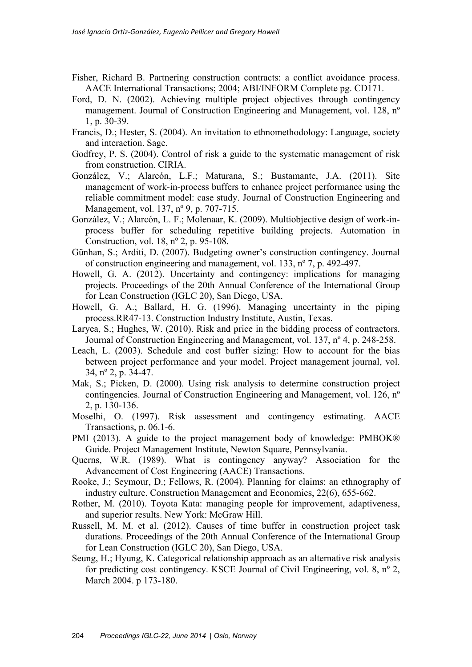- Fisher, Richard B. Partnering construction contracts: a conflict avoidance process. AACE International Transactions; 2004; ABI/INFORM Complete pg. CD171.
- Ford, D. N. (2002). Achieving multiple project objectives through contingency management. Journal of Construction Engineering and Management, vol. 128, nº 1, p. 30-39.
- Francis, D.; Hester, S. (2004). An invitation to ethnomethodology: Language, society and interaction. Sage.
- Godfrey, P. S. (2004). Control of risk a guide to the systematic management of risk from construction. CIRIA.
- González, V.; Alarcón, L.F.; Maturana, S.; Bustamante, J.A. (2011). Site management of work-in-process buffers to enhance project performance using the reliable commitment model: case study. Journal of Construction Engineering and Management, vol. 137, nº 9, p. 707-715.
- González, V.; Alarcón, L. F.; Molenaar, K. (2009). Multiobjective design of work-inprocess buffer for scheduling repetitive building projects. Automation in Construction, vol. 18, nº 2, p. 95-108.
- Günhan, S.; Arditi, D. (2007). Budgeting owner's construction contingency. Journal of construction engineering and management, vol. 133, nº 7, p. 492-497.
- Howell, G. A. (2012). Uncertainty and contingency: implications for managing projects. Proceedings of the 20th Annual Conference of the International Group for Lean Construction (IGLC 20), San Diego, USA.
- Howell, G. A.; Ballard, H. G. (1996). Managing uncertainty in the piping process.RR47-13. Construction Industry Institute, Austin, Texas.
- Laryea, S.; Hughes, W. (2010). Risk and price in the bidding process of contractors. Journal of Construction Engineering and Management, vol. 137, nº 4, p. 248-258.
- Leach, L. (2003). Schedule and cost buffer sizing: How to account for the bias between project performance and your model. Project management journal, vol. 34, nº 2, p. 34-47.
- Mak, S.; Picken, D. (2000). Using risk analysis to determine construction project contingencies. Journal of Construction Engineering and Management, vol. 126, nº 2, p. 130-136.
- Moselhi, O. (1997). Risk assessment and contingency estimating. AACE Transactions, p. 06.1-6.
- PMI (2013). A guide to the project management body of knowledge: PMBOK® Guide. Project Management Institute, Newton Square, Pennsylvania.
- Querns, W.R. (1989). What is contingency anyway? Association for the Advancement of Cost Engineering (AACE) Transactions.
- Rooke, J.; Seymour, D.; Fellows, R. (2004). Planning for claims: an ethnography of industry culture. Construction Management and Economics, 22(6), 655-662.
- Rother, M. (2010). Toyota Kata: managing people for improvement, adaptiveness, and superior results. New York: McGraw Hill.
- Russell, M. M. et al. (2012). Causes of time buffer in construction project task durations. Proceedings of the 20th Annual Conference of the International Group for Lean Construction (IGLC 20), San Diego, USA.
- Seung, H.; Hyung, K. Categorical relationship approach as an alternative risk analysis for predicting cost contingency. KSCE Journal of Civil Engineering, vol. 8, nº 2, March 2004. p 173-180.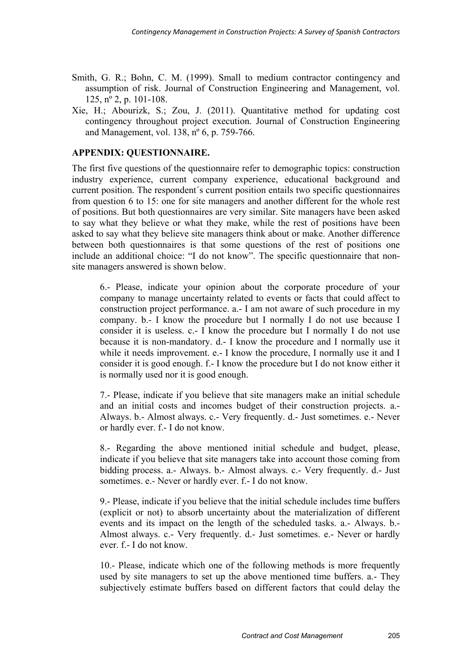- Smith, G. R.; Bohn, C. M. (1999). Small to medium contractor contingency and assumption of risk. Journal of Construction Engineering and Management, vol. 125, nº 2, p. 101-108.
- Xie, H.; Abourizk, S.; Zou, J. (2011). Quantitative method for updating cost contingency throughout project execution. Journal of Construction Engineering and Management, vol. 138, nº 6, p. 759-766.

#### **APPENDIX: QUESTIONNAIRE.**

The first five questions of the questionnaire refer to demographic topics: construction industry experience, current company experience, educational background and current position. The respondent´s current position entails two specific questionnaires from question 6 to 15: one for site managers and another different for the whole rest of positions. But both questionnaires are very similar. Site managers have been asked to say what they believe or what they make, while the rest of positions have been asked to say what they believe site managers think about or make. Another difference between both questionnaires is that some questions of the rest of positions one include an additional choice: "I do not know". The specific questionnaire that nonsite managers answered is shown below.

6.- Please, indicate your opinion about the corporate procedure of your company to manage uncertainty related to events or facts that could affect to construction project performance. a.- I am not aware of such procedure in my company. b.- I know the procedure but I normally I do not use because I consider it is useless. c.- I know the procedure but I normally I do not use because it is non-mandatory. d.- I know the procedure and I normally use it while it needs improvement. e.- I know the procedure, I normally use it and I consider it is good enough. f.- I know the procedure but I do not know either it is normally used nor it is good enough.

7.- Please, indicate if you believe that site managers make an initial schedule and an initial costs and incomes budget of their construction projects. a.- Always. b.- Almost always. c.- Very frequently. d.- Just sometimes. e.- Never or hardly ever. f.- I do not know.

8.- Regarding the above mentioned initial schedule and budget, please, indicate if you believe that site managers take into account those coming from bidding process. a.- Always. b.- Almost always. c.- Very frequently. d.- Just sometimes. e.- Never or hardly ever. f.- I do not know.

9.- Please, indicate if you believe that the initial schedule includes time buffers (explicit or not) to absorb uncertainty about the materialization of different events and its impact on the length of the scheduled tasks. a.- Always. b.- Almost always. c.- Very frequently. d.- Just sometimes. e.- Never or hardly ever. f.- I do not know.

10.- Please, indicate which one of the following methods is more frequently used by site managers to set up the above mentioned time buffers. a.- They subjectively estimate buffers based on different factors that could delay the